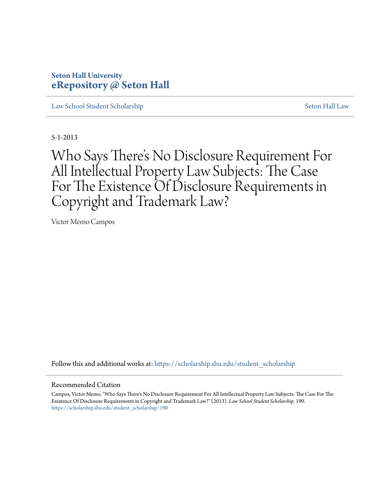# **Seton Hall University [eRepository @ Seton Hall](https://scholarship.shu.edu?utm_source=scholarship.shu.edu%2Fstudent_scholarship%2F190&utm_medium=PDF&utm_campaign=PDFCoverPages)**

[Law School Student Scholarship](https://scholarship.shu.edu/student_scholarship?utm_source=scholarship.shu.edu%2Fstudent_scholarship%2F190&utm_medium=PDF&utm_campaign=PDFCoverPages) [Seton Hall Law](https://scholarship.shu.edu/law?utm_source=scholarship.shu.edu%2Fstudent_scholarship%2F190&utm_medium=PDF&utm_campaign=PDFCoverPages)

5-1-2013

Who Says There 's No Disclosure Requirement For All Intellectual Property Law Subjects: The Case For The Existence Of Disclosure Requirements in Copyright and Trademark Law?

Victor Memo Campos

Follow this and additional works at: [https://scholarship.shu.edu/student\\_scholarship](https://scholarship.shu.edu/student_scholarship?utm_source=scholarship.shu.edu%2Fstudent_scholarship%2F190&utm_medium=PDF&utm_campaign=PDFCoverPages)

#### Recommended Citation

Campos, Victor Memo, "Who Says There's No Disclosure Requirement For All Intellectual Property Law Subjects: The Case For The Existence Of Disclosure Requirements in Copyright and Trademark Law?" (2013). *Law School Student Scholarship*. 190. [https://scholarship.shu.edu/student\\_scholarship/190](https://scholarship.shu.edu/student_scholarship/190?utm_source=scholarship.shu.edu%2Fstudent_scholarship%2F190&utm_medium=PDF&utm_campaign=PDFCoverPages)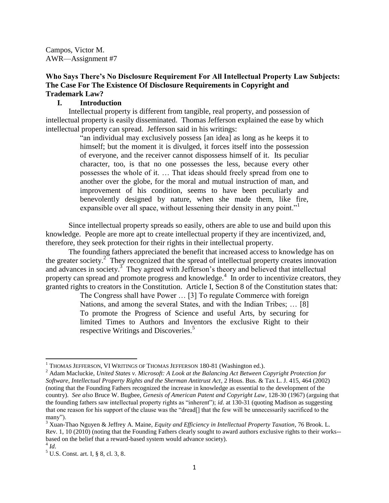Campos, Victor M. AWR—Assignment #7

## **Who Says There's No Disclosure Requirement For All Intellectual Property Law Subjects: The Case For The Existence Of Disclosure Requirements in Copyright and Trademark Law?**

### **I. Introduction**

Intellectual property is different from tangible, real property, and possession of intellectual property is easily disseminated. Thomas Jefferson explained the ease by which intellectual property can spread. Jefferson said in his writings:

> "an individual may exclusively possess [an idea] as long as he keeps it to himself; but the moment it is divulged, it forces itself into the possession of everyone, and the receiver cannot dispossess himself of it. Its peculiar character, too, is that no one possesses the less, because every other possesses the whole of it. … That ideas should freely spread from one to another over the globe, for the moral and mutual instruction of man, and improvement of his condition, seems to have been peculiarly and benevolently designed by nature, when she made them, like fire, expansible over all space, without lessening their density in any point."<sup>1</sup>

Since intellectual property spreads so easily, others are able to use and build upon this knowledge. People are more apt to create intellectual property if they are incentivized, and, therefore, they seek protection for their rights in their intellectual property.

The founding fathers appreciated the benefit that increased access to knowledge has on the greater society.<sup>2</sup> They recognized that the spread of intellectual property creates innovation and advances in society.<sup>3</sup> They agreed with Jefferson's theory and believed that intellectual property can spread and promote progress and knowledge.<sup>4</sup> In order to incentivize creators, they granted rights to creators in the Constitution. Article I, Section 8 of the Constitution states that:

The Congress shall have Power … [3] To regulate Commerce with foreign Nations, and among the several States, and with the Indian Tribes; … [8] To promote the Progress of Science and useful Arts, by securing for limited Times to Authors and Inventors the exclusive Right to their respective Writings and Discoveries.<sup>5</sup>

 $\overline{\phantom{a}}$ 

<sup>&</sup>lt;sup>1</sup> THOMAS JEFFERSON, VI WRITINGS OF THOMAS JEFFERSON 180-81 (Washington ed.).

<sup>2</sup> Adam Macluckie, *United States v. Microsoft: A Look at the Balancing Act Between Copyright Protection for Software, Intellectual Property Rights and the Sherman Antitrust Act*, 2 Hous. Bus. & Tax L. J. 415, 464 (2002) (noting that the Founding Fathers recognized the increase in knowledge as essential to the development of the country). *See also* Bruce W. Bugbee, *Genesis of American Patent and Copyright Law*, 128-30 (1967) (arguing that the founding fathers saw intellectual property rights as "inherent"); *id*. at 130-31 (quoting Madison as suggesting that one reason for his support of the clause was the "dread[] that the few will be unnecessarily sacrificed to the many").

<sup>3</sup> Xuan-Thao Nguyen & Jeffrey A. Maine, *Equity and Efficiency in Intellectual Property Taxation*, 76 Brook. L. Rev. 1, 10 (2010) (noting that the Founding Fathers clearly sought to award authors exclusive rights to their works- based on the belief that a reward-based system would advance society).

<sup>4</sup> *Id*.

 $<sup>5</sup>$  U.S. Const. art. I, § 8, cl. 3, 8.</sup>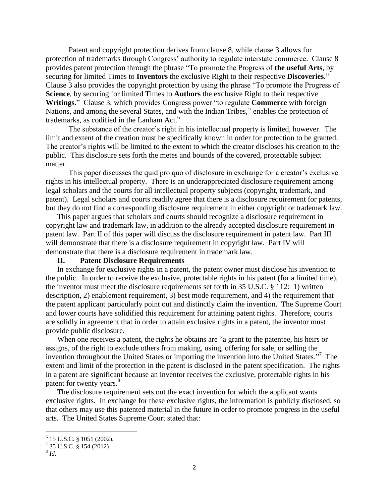Patent and copyright protection derives from clause 8, while clause 3 allows for protection of trademarks through Congress' authority to regulate interstate commerce. Clause 8 provides patent protection through the phrase "To promote the Progress of **the useful Arts**, by securing for limited Times to **Inventors** the exclusive Right to their respective **Discoveries**." Clause 3 also provides the copyright protection by using the phrase "To promote the Progress of **Science**, by securing for limited Times to **Authors** the exclusive Right to their respective **Writings**." Clause 3, which provides Congress power "to regulate **Commerce** with foreign Nations, and among the several States, and with the Indian Tribes," enables the protection of trademarks, as codified in the Lanham Act.<sup>6</sup>

The substance of the creator's right in his intellectual property is limited, however. The limit and extent of the creation must be specifically known in order for protection to be granted. The creator's rights will be limited to the extent to which the creator discloses his creation to the public. This disclosure sets forth the metes and bounds of the covered, protectable subject matter.

This paper discusses the quid pro quo of disclosure in exchange for a creator's exclusive rights in his intellectual property. There is an underappreciated disclosure requirement among legal scholars and the courts for all intellectual property subjects (copyright, trademark, and patent). Legal scholars and courts readily agree that there is a disclosure requirement for patents, but they do not find a corresponding disclosure requirement in either copyright or trademark law.

This paper argues that scholars and courts should recognize a disclosure requirement in copyright law and trademark law, in addition to the already accepted disclosure requirement in patent law. Part II of this paper will discuss the disclosure requirement in patent law. Part III will demonstrate that there is a disclosure requirement in copyright law. Part IV will demonstrate that there is a disclosure requirement in trademark law.

#### **II. Patent Disclosure Requirements**

In exchange for exclusive rights in a patent, the patent owner must disclose his invention to the public. In order to receive the exclusive, protectable rights in his patent (for a limited time), the inventor must meet the disclosure requirements set forth in 35 U.S.C. § 112: 1) written description, 2) enablement requirement, 3) best mode requirement, and 4) the requirement that the patent applicant particularly point out and distinctly claim the invention. The Supreme Court and lower courts have solidified this requirement for attaining patent rights. Therefore, courts are solidly in agreement that in order to attain exclusive rights in a patent, the inventor must provide public disclosure.

When one receives a patent, the rights he obtains are "a grant to the patentee, his heirs or assigns, of the right to exclude others from making, using, offering for sale, or selling the invention throughout the United States or importing the invention into the United States."<sup>7</sup> The extent and limit of the protection in the patent is disclosed in the patent specification. The rights in a patent are significant because an inventor receives the exclusive, protectable rights in his patent for twenty years.<sup>8</sup>

The disclosure requirement sets out the exact invention for which the applicant wants exclusive rights. In exchange for these exclusive rights, the information is publicly disclosed, so that others may use this patented material in the future in order to promote progress in the useful arts. The United States Supreme Court stated that:

 6 15 U.S.C. § 1051 (2002).

 $^{7}$  35 U.S.C. § 154 (2012).

<sup>8</sup> *Id*.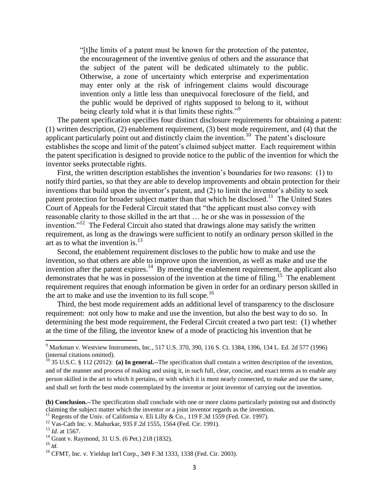"[t]he limits of a patent must be known for the protection of the patentee, the encouragement of the inventive genius of others and the assurance that the subject of the patent will be dedicated ultimately to the public. Otherwise, a zone of uncertainty which enterprise and experimentation may enter only at the risk of infringement claims would discourage invention only a little less than unequivocal foreclosure of the field, and the public would be deprived of rights supposed to belong to it, without being clearly told what it is that limits these rights."<sup>9</sup>

The patent specification specifies four distinct disclosure requirements for obtaining a patent: (1) written description, (2) enablement requirement, (3) best mode requirement, and (4) that the applicant particularly point out and distinctly claim the invention.<sup>10</sup> The patent's disclosure establishes the scope and limit of the patent's claimed subject matter. Each requirement within the patent specification is designed to provide notice to the public of the invention for which the inventor seeks protectable rights.

First, the written description establishes the invention's boundaries for two reasons: (1) to notify third parties, so that they are able to develop improvements and obtain protection for their inventions that build upon the inventor's patent, and (2) to limit the inventor's ability to seek patent protection for broader subject matter than that which he disclosed.<sup>11</sup> The United States Court of Appeals for the Federal Circuit stated that "the applicant must also convey with reasonable clarity to those skilled in the art that … he or she was in possession of the invention."<sup>12</sup> The Federal Circuit also stated that drawings alone may satisfy the written requirement, as long as the drawings were sufficient to notify an ordinary person skilled in the art as to what the invention is. $13$ 

Second, the enablement requirement discloses to the public how to make and use the invention, so that others are able to improve upon the invention, as well as make and use the invention after the patent expires.<sup>14</sup> By meeting the enablement requirement, the applicant also demonstrates that he was in possession of the invention at the time of filing.<sup>15</sup> The enablement requirement requires that enough information be given in order for an ordinary person skilled in the art to make and use the invention to its full scope.<sup>16</sup>

Third, the best mode requirement adds an additional level of transparency to the disclosure requirement: not only how to make and use the invention, but also the best way to do so. In determining the best mode requirement, the Federal Circuit created a two part test: (1) whether at the time of the filing, the inventor knew of a mode of practicing his invention that he

<sup>9</sup> Markman v. Westview Instruments, Inc*.*, 517 U.S. 370, 390, 116 S. Ct. 1384, 1396, 134 L. Ed. 2d 577 (1996) (internal citations omitted).

<sup>&</sup>lt;sup>10</sup> 35 U.S.C. § 112 (2012): (a) In general.--The specification shall contain a written description of the invention, and of the manner and process of making and using it, in such full, clear, concise, and exact terms as to enable any person skilled in the art to which it pertains, or with which it is most nearly connected, to make and use the same, and shall set forth the best mode contemplated by the inventor or joint inventor of carrying out the invention.

**<sup>(</sup>b) Conclusion.**--The specification shall conclude with one or more claims particularly pointing out and distinctly claiming the subject matter which the inventor or a joint inventor regards as the invention.

<sup>&</sup>lt;sup>11</sup> Regents of the Univ. of California v. Eli Lilly & Co., 119 F.3d 1559 (Fed. Cir. 1997).

<sup>12</sup> Vas-Cath Inc. v. Mahurkar, 935 F.2d 1555, 1564 (Fed. Cir. 1991).

<sup>13</sup> *Id*. at 1567.

<sup>14</sup> Grant v. Raymond, 31 U.S. (6 Pet.) 218 (1832).

 $15$  *Id.* 

<sup>&</sup>lt;sup>16</sup> CFMT, Inc. v. Yieldup Int'l Corp., 349 F.3d 1333, 1338 (Fed. Cir. 2003).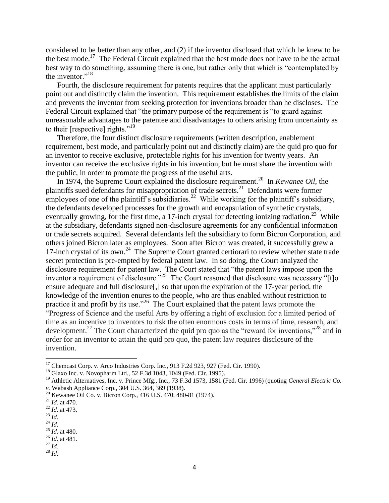considered to be better than any other, and (2) if the inventor disclosed that which he knew to be the best mode.<sup>17</sup> The Federal Circuit explained that the best mode does not have to be the actual best way to do something, assuming there is one, but rather only that which is "contemplated by the inventor."<sup>18</sup>

Fourth, the disclosure requirement for patents requires that the applicant must particularly point out and distinctly claim the invention. This requirement establishes the limits of the claim and prevents the inventor from seeking protection for inventions broader than he discloses. The Federal Circuit explained that "the primary purpose of the requirement is "to guard against unreasonable advantages to the patentee and disadvantages to others arising from uncertainty as to their [respective] rights."<sup>19</sup>

Therefore, the four distinct disclosure requirements (written description, enablement requirement, best mode, and particularly point out and distinctly claim) are the quid pro quo for an inventor to receive exclusive, protectable rights for his invention for twenty years. An inventor can receive the exclusive rights in his invention, but he must share the invention with the public, in order to promote the progress of the useful arts.

In 1974, the Supreme Court explained the disclosure requirement.<sup>20</sup> In *Kewanee Oil*, the plaintiffs sued defendants for misappropriation of trade secrets.<sup>21</sup> Defendants were former employees of one of the plaintiff's subsidiaries.<sup>22</sup> While working for the plaintiff's subsidiary, the defendants developed processes for the growth and encapsulation of synthetic crystals, eventually growing, for the first time, a 17-inch crystal for detecting ionizing radiation.<sup>23</sup> While at the subsidiary, defendants signed non-disclosure agreements for any confidential information or trade secrets acquired. Several defendants left the subsidiary to form Bicron Corporation, and others joined Bicron later as employees. Soon after Bicron was created, it successfully grew a 17-inch crystal of its own.<sup>24</sup> The Supreme Court granted certiorari to review whether state trade secret protection is pre-empted by federal patent law. In so doing, the Court analyzed the disclosure requirement for patent law. The Court stated that "the patent laws impose upon the inventor a requirement of disclosure."<sup>25</sup> The Court reasoned that disclosure was necessary "[t]o ensure adequate and full disclosure[,] so that upon the expiration of the 17-year period, the knowledge of the invention enures to the people, who are thus enabled without restriction to practice it and profit by its use."<sup>26</sup> The Court explained that the patent laws promote the "Progress of Science and the useful Arts by offering a right of exclusion for a limited period of time as an incentive to inventors to risk the often enormous costs in terms of time, research, and development.<sup>27</sup> The Court characterized the quid pro quo as the "reward for inventions,"<sup>28</sup> and in order for an inventor to attain the quid pro quo, the patent law requires disclosure of the invention.

 $\overline{\phantom{a}}$ 

<sup>&</sup>lt;sup>17</sup> Chemcast Corp. v. Arco Industries Corp. Inc., 913 F.2d 923, 927 (Fed. Cir. 1990).

<sup>18</sup> Glaxo Inc. v. Novopharm Ltd., 52 F.3d 1043, 1049 (Fed. Cir. 1995).

<sup>&</sup>lt;sup>19</sup> Athletic Alternatives, Inc. v. Prince Mfg., Inc., 73 F.3d 1573, 1581 (Fed. Cir. 1996) (quoting *General Electric Co. v.* Wabash Appliance Corp., 304 U.S. 364, 369 (1938).

<sup>20</sup> Kewanee Oil Co. v. Bicron Corp., 416 U.S. 470, 480-81 (1974).

<sup>21</sup> *Id.* at 470.

<sup>22</sup> *Id.* at 473.

<sup>23</sup> *Id.*

<sup>24</sup> *Id.*

<sup>25</sup> *Id.* at 480. <sup>26</sup> *Id.* at 481.

 $^{27}$  *Id.* 

<sup>28</sup> *Id.*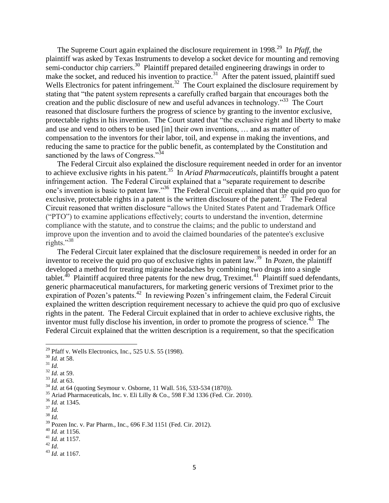The Supreme Court again explained the disclosure requirement in 1998.<sup>29</sup> In *Pfaff*, the plaintiff was asked by Texas Instruments to develop a socket device for mounting and removing semi-conductor chip carriers.<sup>30</sup> Plaintiff prepared detailed engineering drawings in order to make the socket, and reduced his invention to practice.<sup>31</sup> After the patent issued, plaintiff sued Wells Electronics for patent infringement.<sup>32</sup> The Court explained the disclosure requirement by stating that "the patent system represents a carefully crafted bargain that encourages both the creation and the public disclosure of new and useful advances in technology."<sup>33</sup> The Court reasoned that disclosure furthers the progress of science by granting to the inventor exclusive, protectable rights in his invention. The Court stated that "the exclusive right and liberty to make and use and vend to others to be used [in] their own inventions, … and as matter of compensation to the inventors for their labor, toil, and expense in making the inventions, and reducing the same to practice for the public benefit, as contemplated by the Constitution and sanctioned by the laws of Congress."<sup>34</sup>

The Federal Circuit also explained the disclosure requirement needed in order for an inventor to achieve exclusive rights in his patent.<sup>35</sup> In *Ariad Pharmaceuticals*, plaintiffs brought a patent infringement action. The Federal Circuit explained that a "separate requirement to describe one's invention is basic to patent law."<sup>36</sup> The Federal Circuit explained that the quid pro quo for exclusive, protectable rights in a patent is the written disclosure of the patent.<sup>37</sup> The Federal Circuit reasoned that written disclosure "allows the United States Patent and Trademark Office ("PTO") to examine applications effectively; courts to understand the invention, determine compliance with the statute, and to construe the claims; and the public to understand and improve upon the invention and to avoid the claimed boundaries of the patentee's exclusive rights."<sup>38</sup>

The Federal Circuit later explained that the disclosure requirement is needed in order for an inventor to receive the quid pro quo of exclusive rights in patent law.<sup>39</sup> In *Pozen*, the plaintiff developed a method for treating migraine headaches by combining two drugs into a single tablet.<sup>40</sup> Plaintiff acquired three patents for the new drug, Treximet.<sup>41</sup> Plaintiff sued defendants, generic pharmaceutical manufacturers, for marketing generic versions of Treximet prior to the expiration of Pozen's patents.<sup>42</sup> In reviewing Pozen's infringement claim, the Federal Circuit explained the written description requirement necessary to achieve the quid pro quo of exclusive rights in the patent. The Federal Circuit explained that in order to achieve exclusive rights, the inventor must fully disclose his invention, in order to promote the progress of science. $43$  The Federal Circuit explained that the written description is a requirement, so that the specification

l

<sup>33</sup> *Id.* at 63.

<sup>36</sup> *Id.* at 1345.

<sup>38</sup> *Id.*

<sup>40</sup> *Id.* at 1156.

 $29$  Pfaff v. Wells Electronics, Inc., 525 U.S. 55 (1998).

<sup>30</sup> *Id.* at 58.

 $^{31}$  *Id.* 

 $\frac{32}{1}$ *Id.* at 59.

<sup>34</sup> *Id.* at 64 (quoting Seymour v. Osborne, 11 Wall. 516, 533-534 (1870)).

<sup>&</sup>lt;sup>35</sup> Ariad Pharmaceuticals, Inc. v. Eli Lilly & Co., 598 F.3d 1336 (Fed. Cir. 2010).

 $\frac{37}{1}$ *Id.* 

<sup>39</sup> Pozen Inc. v. Par Pharm., Inc., 696 F.3d 1151 (Fed. Cir. 2012).

<sup>41</sup> *Id.* at 1157.

<sup>42</sup> *Id*.

<sup>43</sup> *Id.* at 1167.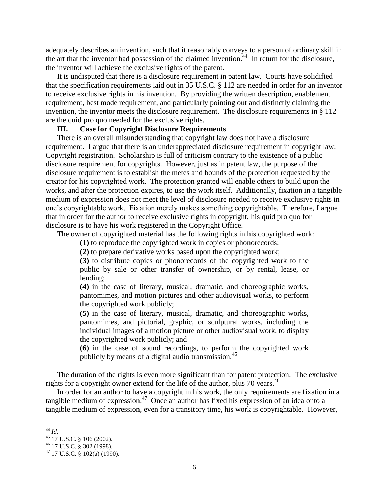adequately describes an invention, such that it reasonably conveys to a person of ordinary skill in the art that the inventor had possession of the claimed invention.<sup>44</sup> In return for the disclosure, the inventor will achieve the exclusive rights of the patent.

It is undisputed that there is a disclosure requirement in patent law. Courts have solidified that the specification requirements laid out in 35 U.S.C. § 112 are needed in order for an inventor to receive exclusive rights in his invention. By providing the written description, enablement requirement, best mode requirement, and particularly pointing out and distinctly claiming the invention, the inventor meets the disclosure requirement. The disclosure requirements in § 112 are the quid pro quo needed for the exclusive rights.

### **III. Case for Copyright Disclosure Requirements**

There is an overall misunderstanding that copyright law does not have a disclosure requirement. I argue that there is an underappreciated disclosure requirement in copyright law: Copyright registration. Scholarship is full of criticism contrary to the existence of a public disclosure requirement for copyrights. However, just as in patent law, the purpose of the disclosure requirement is to establish the metes and bounds of the protection requested by the creator for his copyrighted work. The protection granted will enable others to build upon the works, and after the protection expires, to use the work itself. Additionally, fixation in a tangible medium of expression does not meet the level of disclosure needed to receive exclusive rights in one's copyrightable work. Fixation merely makes something copyrightable. Therefore, I argue that in order for the author to receive exclusive rights in copyright, his quid pro quo for disclosure is to have his work registered in the Copyright Office.

The owner of copyrighted material has the following rights in his copyrighted work:

**(1)** to reproduce the copyrighted work in copies or phonorecords;

**(2)** to prepare derivative works based upon the copyrighted work;

**(3)** to distribute copies or phonorecords of the copyrighted work to the public by sale or other transfer of ownership, or by rental, lease, or lending;

**(4)** in the case of literary, musical, dramatic, and choreographic works, pantomimes, and motion pictures and other audiovisual works, to perform the copyrighted work publicly;

**(5)** in the case of literary, musical, dramatic, and choreographic works, pantomimes, and pictorial, graphic, or sculptural works, including the individual images of a motion picture or other audiovisual work, to display the copyrighted work publicly; and

**(6)** in the case of sound recordings, to perform the copyrighted work publicly by means of a digital audio transmission.  $45$ 

The duration of the rights is even more significant than for patent protection. The exclusive rights for a copyright owner extend for the life of the author, plus 70 years.<sup>46</sup>

In order for an author to have a copyright in his work, the only requirements are fixation in a tangible medium of expression.<sup>47</sup> Once an author has fixed his expression of an idea onto a tangible medium of expression, even for a transitory time, his work is copyrightable. However,

 $\overline{\phantom{a}}$ <sup>44</sup> *Id.*

 $45$  17 U.S.C. § 106 (2002).

<sup>46</sup> 17 U.S.C. § 302 (1998).

 $47$  17 U.S.C. § 102(a) (1990).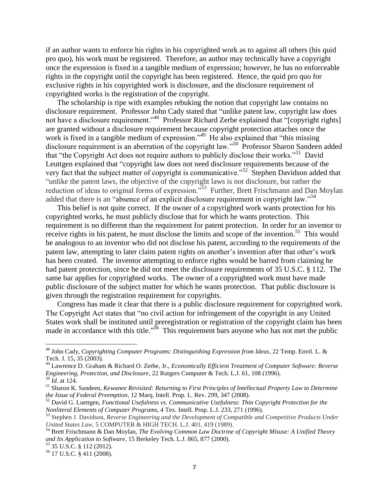if an author wants to enforce his rights in his copyrighted work as to against all others (his quid pro quo), his work must be registered. Therefore, an author may technically have a copyright once the expression is fixed in a tangible medium of expression; however, he has no enforceable rights in the copyright until the copyright has been registered. Hence, the quid pro quo for exclusive rights in his copyrighted work is disclosure, and the disclosure requirement of copyrighted works is the registration of the copyright.

The scholarship is ripe with examples rebuking the notion that copyright law contains no disclosure requirement. Professor John Cady stated that "unlike patent law, copyright law does not have a disclosure requirement."<sup>48</sup> Professor Richard Zerbe explained that "[copyright rights] are granted without a disclosure requirement because copyright protection attaches once the work is fixed in a tangible medium of expression."<sup>49</sup> He also explained that "this missing disclosure requirement is an aberration of the copyright law."<sup>50</sup> Professor Sharon Sandeen added that "the Copyright Act does not require authors to publicly disclose their works."<sup>51</sup> David Leuttgen explained that "copyright law does not need disclosure requirements because of the very fact that the subject matter of copyright is communicative."<sup>52</sup> Stephen Davidson added that "unlike the patent laws, the objective of the copyright laws is not disclosure, but rather the reduction of ideas to original forms of expression."<sup>53</sup> Further, Brett Frischmann and Dan Moylan added that there is an "absence of an explicit disclosure requirement in copyright law."<sup>54</sup>

This belief is not quite correct. If the owner of a copyrighted work wants protection for his copyrighted works, he must publicly disclose that for which he wants protection. This requirement is no different than the requirement for patent protection. In order for an inventor to receive rights in his patent, he must disclose the limits and scope of the invention.<sup>55</sup> This would be analogous to an inventor who did not disclose his patent, according to the requirements of the patent law, attempting to later claim patent rights on another's invention after that other's work has been created. The inventor attempting to enforce rights would be barred from claiming he had patent protection, since he did not meet the disclosure requirements of 35 U.S.C. § 112. The same bar applies for copyrighted works. The owner of a copyrighted work must have made public disclosure of the subject matter for which he wants protection. That public disclosure is given through the registration requirement for copyrights.

Congress has made it clear that there is a public disclosure requirement for copyrighted work. The Copyright Act states that "no civil action for infringement of the copyright in any United States work shall be instituted until preregistration or registration of the copyright claim has been made in accordance with this title."<sup>56</sup> This requirement bars anyone who has not met the public

l

<sup>48</sup> John Cady, *Copyrighting Computer Programs: Distinguishing Expression from Ideas*, 22 Temp. Envtl. L. & Tech. J. 15, 35 (2003).

<sup>49</sup> Lawrence D. Graham & Richard O. Zerbe, Jr., *Economically Efficient Treatment of Computer Software: Reverse Engineering, Protection, and Disclosure*, 22 Rutgers Computer & Tech. L.J. 61, 108 (1996).

<sup>50</sup> *Id*. at 124.

<sup>51</sup> Sharon K. Sandeen, *Kewanee Revisited: Returning to First Principles of Intellectual Property Law to Determine the Issue of Federal Preemption*, 12 Marq. Intell. Prop. L. Rev. 299, 347 (2008).

<sup>52</sup> David G. Luettgen, *Functional Usefulness vs. Communicative Usefulness: Thin Copyright Protection for the Nonliteral Elements of Computer Programs*, 4 Tex. Intell. Prop. L.J. 233, 271 (1996).

<sup>53</sup> Stephen J. Davidson, *Reverse Engineering and the Development of Compatible and Competitive Products Under United States Law*, 5 COMPUTER & HIGH TECH. L.J. 401, 419 (1989).

<sup>54</sup> Brett Frischmann & Dan Moylan, *The Evolving Common Law Doctrine of Copyright Misuse: A Unified Theory and Its Application to Software*, 15 Berkeley Tech. L.J. 865, 877 (2000).

<sup>55</sup> 35 U.S.C. § 112 (2012).

<sup>56</sup> 17 U.S.C. § 411 (2008).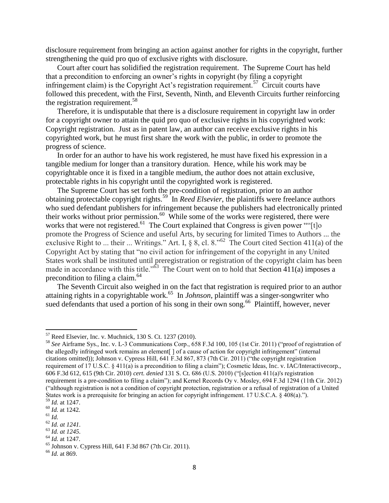disclosure requirement from bringing an action against another for rights in the copyright, further strengthening the quid pro quo of exclusive rights with disclosure.

Court after court has solidified the registration requirement. The Supreme Court has held that a precondition to enforcing an owner's rights in copyright (by filing a copyright infringement claim) is the Copyright Act's registration requirement.<sup>57</sup> Circuit courts have followed this precedent, with the First, Seventh, Ninth, and Eleventh Circuits further reinforcing the registration requirement.<sup>58</sup>

Therefore, it is undisputable that there is a disclosure requirement in copyright law in order for a copyright owner to attain the quid pro quo of exclusive rights in his copyrighted work: Copyright registration. Just as in patent law, an author can receive exclusive rights in his copyrighted work, but he must first share the work with the public, in order to promote the progress of science.

In order for an author to have his work registered, he must have fixed his expression in a tangible medium for longer than a transitory duration. Hence, while his work may be copyrightable once it is fixed in a tangible medium, the author does not attain exclusive, protectable rights in his copyright until the copyrighted work is registered.

The Supreme Court has set forth the pre-condition of registration, prior to an author obtaining protectable copyright rights.<sup>59</sup> In *Reed Elsevier*, the plaintiffs were freelance authors who sued defendant publishers for infringement because the publishers had electronically printed their works without prior permission.<sup>60</sup> While some of the works were registered, there were works that were not registered.<sup>61</sup> The Court explained that Congress is given power ""[t]o promote the Progress of Science and useful Arts, by securing for limited Times to Authors ... the exclusive Right to ... their ... Writings." Art. I,  $\S$  8, cl. 8."<sup>62</sup> The Court cited Section 411(a) of the Copyright Act by stating that "no civil action for infringement of the copyright in any United States work shall be instituted until preregistration or registration of the copyright claim has been made in accordance with this title." $63$  The Court went on to hold that Section 411(a) imposes a precondition to filing a claim.<sup>64</sup>

The Seventh Circuit also weighed in on the fact that registration is required prior to an author attaining rights in a copyrightable work.<sup>65</sup> In *Johnson*, plaintiff was a singer-songwriter who sued defendants that used a portion of his song in their own song.<sup>66</sup> Plaintiff, however, never

 $\overline{\phantom{a}}$ 

 $57$  Reed Elsevier, Inc. v. Muchnick, 130 S. Ct. 1237 (2010).

<sup>58</sup> *See* Airframe Sys., Inc. v. L-3 Communications Corp., 658 F.3d 100, 105 (1st Cir. 2011) ("proof of registration of the allegedly infringed work remains an element[ ] of a cause of action for copyright infringement" (internal citations omitted)); Johnson v. Cypress Hill, 641 F.3d 867, 873 (7th Cir. 2011) ("the copyright registration requirement of 17 U.S.C. § 411(a) is a precondition to filing a claim"); Cosmetic Ideas, Inc. v. IAC/Interactivecorp., 606 F.3d 612, 615 (9th Cir. 2010) *cert. denied* 131 S. Ct. 686 (U.S. 2010) ("[s]ection 411(a)'s registration requirement is a pre-condition to filing a claim"); and Kernel Records Oy v. Mosley, 694 F.3d 1294 (11th Cir. 2012) ("although registration is not a condition of copyright protection, registration or a refusal of registration of a United States work is a prerequisite for bringing an action for copyright infringement. 17 U.S.C.A. § 408(a).").

<sup>59</sup> *Id.* at 1247.

<sup>60</sup> *Id.* at 1242.

<sup>61</sup> *Id.*

<sup>62</sup> *Id. at 1241.*

<sup>63</sup> *Id. at 1245.* <sup>64</sup> *Id.* at 1247.

<sup>65</sup> Johnson v. Cypress Hill, 641 F.3d 867 (7th Cir. 2011).

<sup>66</sup> *Id.* at 869.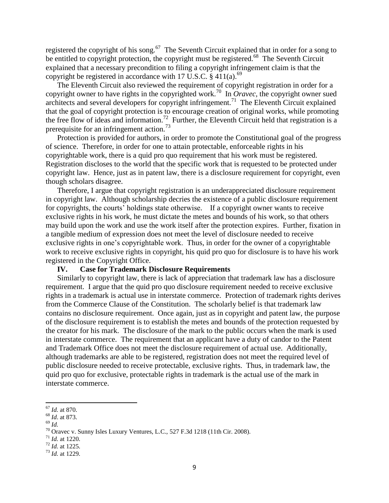registered the copyright of his song.<sup>67</sup> The Seventh Circuit explained that in order for a song to be entitled to copyright protection, the copyright must be registered.<sup>68</sup> The Seventh Circuit explained that a necessary precondition to filing a copyright infringement claim is that the copyright be registered in accordance with 17 U.S.C.  $\S$  411(a).<sup>69</sup>

The Eleventh Circuit also reviewed the requirement of copyright registration in order for a copyright owner to have rights in the copyrighted work.<sup>70</sup> In *Oravec,* the copyright owner sued architects and several developers for copyright infringement.<sup>71</sup> The Eleventh Circuit explained that the goal of copyright protection is to encourage creation of original works, while promoting the free flow of ideas and information.<sup>72</sup> Further, the Eleventh Circuit held that registration is a prerequisite for an infringement action.<sup>73</sup>

Protection is provided for authors, in order to promote the Constitutional goal of the progress of science. Therefore, in order for one to attain protectable, enforceable rights in his copyrightable work, there is a quid pro quo requirement that his work must be registered. Registration discloses to the world that the specific work that is requested to be protected under copyright law. Hence, just as in patent law, there is a disclosure requirement for copyright, even though scholars disagree.

Therefore, I argue that copyright registration is an underappreciated disclosure requirement in copyright law. Although scholarship decries the existence of a public disclosure requirement for copyrights, the courts' holdings state otherwise. If a copyright owner wants to receive exclusive rights in his work, he must dictate the metes and bounds of his work, so that others may build upon the work and use the work itself after the protection expires. Further, fixation in a tangible medium of expression does not meet the level of disclosure needed to receive exclusive rights in one's copyrightable work. Thus, in order for the owner of a copyrightable work to receive exclusive rights in copyright, his quid pro quo for disclosure is to have his work registered in the Copyright Office.

### **IV. Case for Trademark Disclosure Requirements**

Similarly to copyright law, there is lack of appreciation that trademark law has a disclosure requirement. I argue that the quid pro quo disclosure requirement needed to receive exclusive rights in a trademark is actual use in interstate commerce. Protection of trademark rights derives from the Commerce Clause of the Constitution. The scholarly belief is that trademark law contains no disclosure requirement. Once again, just as in copyright and patent law, the purpose of the disclosure requirement is to establish the metes and bounds of the protection requested by the creator for his mark. The disclosure of the mark to the public occurs when the mark is used in interstate commerce. The requirement that an applicant have a duty of candor to the Patent and Trademark Office does not meet the disclosure requirement of actual use. Additionally, although trademarks are able to be registered, registration does not meet the required level of public disclosure needed to receive protectable, exclusive rights. Thus, in trademark law, the quid pro quo for exclusive, protectable rights in trademark is the actual use of the mark in interstate commerce.

 $\overline{\phantom{a}}$ <sup>67</sup> *Id.* at 870.

<sup>68</sup> *Id*. at 873.

<sup>69</sup> *Id.*

 $70$  Oravec v. Sunny Isles Luxury Ventures, L.C., 527 F.3d 1218 (11th Cir. 2008).

<sup>71</sup> *Id.* at 1220.

 $72$  *Id.* at 1225.

<sup>73</sup> *Id.* at 1229.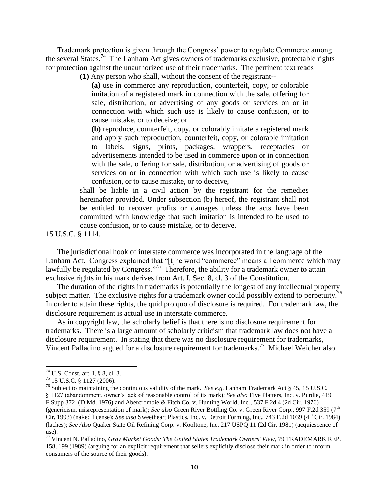Trademark protection is given through the Congress' power to regulate Commerce among the several States. 74 The Lanham Act gives owners of trademarks exclusive, protectable rights for protection against the unauthorized use of their trademarks. The pertinent text reads

**(1)** Any person who shall, without the consent of the registrant--

**(a)** use in commerce any reproduction, counterfeit, copy, or colorable imitation of a registered mark in connection with the sale, offering for sale, distribution, or advertising of any goods or services on or in connection with which such use is likely to cause confusion, or to cause mistake, or to deceive; or

**(b)** reproduce, counterfeit, copy, or colorably imitate a registered mark and apply such reproduction, counterfeit, copy, or colorable imitation to labels, signs, prints, packages, wrappers, receptacles or advertisements intended to be used in commerce upon or in connection with the sale, offering for sale, distribution, or advertising of goods or services on or in connection with which such use is likely to cause confusion, or to cause mistake, or to deceive,

shall be liable in a civil action by the registrant for the remedies hereinafter provided. Under subsection (b) hereof, the registrant shall not be entitled to recover profits or damages unless the acts have been committed with knowledge that such imitation is intended to be used to cause confusion, or to cause mistake, or to deceive.

15 U.S.C. § 1114.

The jurisdictional hook of interstate commerce was incorporated in the language of the Lanham Act. Congress explained that "[t]he word "commerce" means all commerce which may lawfully be regulated by Congress."<sup>75</sup> Therefore, the ability for a trademark owner to attain exclusive rights in his mark derives from Art. I, Sec. 8, cl. 3 of the Constitution.

The duration of the rights in trademarks is potentially the longest of any intellectual property subject matter. The exclusive rights for a trademark owner could possibly extend to perpetuity.<sup>7</sup> In order to attain these rights, the quid pro quo of disclosure is required. For trademark law, the disclosure requirement is actual use in interstate commerce.

As in copyright law, the scholarly belief is that there is no disclosure requirement for trademarks. There is a large amount of scholarly criticism that trademark law does not have a disclosure requirement. In stating that there was no disclosure requirement for trademarks, Vincent Palladino argued for a disclosure requirement for trademarks.<sup>77</sup> Michael Weicher also

<sup>74</sup> U.S. Const. art. I, § 8, cl. 3.

<sup>75</sup> 15 U.S.C. § 1127 (2006).

<sup>76</sup> Subject to maintaining the continuous validity of the mark. *See e.g.* Lanham Trademark Act § 45, 15 U.S.C. § 1127 (abandonment, owner's lack of reasonable control of its mark); *See also* [Five Platters, Inc. v. Purdie](https://a.next.westlaw.com/Link/Document/FullText?findType=Y&serNum=1976127173&pubNum=345&originationContext=document&transitionType=DocumentItem&contextData=(sc.Search))*,* 419 [F.Supp 372 \(D.Md. 1976\)](https://a.next.westlaw.com/Link/Document/FullText?findType=Y&serNum=1976127173&pubNum=345&originationContext=document&transitionType=DocumentItem&contextData=(sc.Search)) and [Abercrombie & Fitch Co. v. Hunting World, Inc.,](https://a.next.westlaw.com/Link/Document/FullText?findType=Y&serNum=1976123607&pubNum=350&originationContext=document&transitionType=DocumentItem&contextData=(sc.Search)) 537 F.2d 4 (2d Cir. 1976) (genericism, misrepresentation of mark); *See also* Green River Bottling Co. v. Green River Corp., 997 F.2d 359 (7<sup>th</sup>) Cir. 1993) (naked license); *See also* Sweetheart Plastics, Inc. v. Detroit Forming, Inc., 743 F.2d 1039 (4<sup>th</sup> Cir. 1984) (laches); *See Also* Quaker State Oil Refining Corp. v. Kooltone, Inc. 217 USPQ 11 (2d Cir. 1981) (acquiescence of use).

<sup>77</sup> Vincent N. Palladino, *[Gray Market Goods: The United States Trademark Owners' View](https://a.next.westlaw.com/Link/Document/FullText?findType=Y&serNum=0101851017&pubNum=1532&originationContext=document&transitionType=DocumentItem&contextData=(sc.UserEnteredCitation)#co_pp_sp_1532_175)*, 79 TRADEMARK REP. [158, 199 \(1989\)](https://a.next.westlaw.com/Link/Document/FullText?findType=Y&serNum=0101851017&pubNum=1532&originationContext=document&transitionType=DocumentItem&contextData=(sc.UserEnteredCitation)#co_pp_sp_1532_175) (arguing for an explicit requirement that sellers explicitly disclose their mark in order to inform consumers of the source of their goods).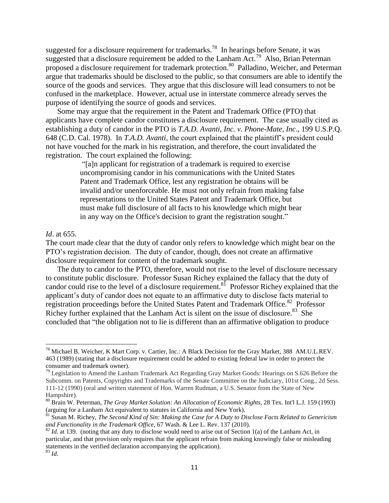suggested for a disclosure requirement for trademarks.<sup>78</sup> In hearings before Senate, it was suggested that a disclosure requirement be added to the Lanham Act.<sup>79</sup> Also, Brian Peterman proposed a disclosure requirement for trademark protection.<sup>80</sup> Palladino, Weicher, and Peterman argue that trademarks should be disclosed to the public, so that consumers are able to identify the source of the goods and services. They argue that this disclosure will lead consumers to not be confused in the marketplace. However, actual use in interstate commerce already serves the purpose of identifying the source of goods and services.

Some may argue that the requirement in the Patent and Trademark Office (PTO) that applicants have complete candor constitutes a disclosure requirement. The case usually cited as establishing a duty of candor in the PTO is *T.A.D. Avanti, Inc. v. Phone-Mate, Inc*., 199 U.S.P.Q. 648 (C.D. Cal. 1978). In *T.A.D. Avanti*, the court explained that the plaintiff's president could not have vouched for the mark in his registration, and therefore, the court invalidated the registration. The court explained the following:

> "[a]n applicant for registration of a trademark is required to exercise uncompromising candor in his communications with the United States Patent and Trademark Office, lest any registration he obtains will be invalid and/or unenforceable. He must not only refrain from making false representations to the United States Patent and Trademark Office, but must make full disclosure of all facts to his knowledge which might bear in any way on the Office's decision to grant the registration sought."

### *Id*. at 655.

l

The court made clear that the duty of candor only refers to knowledge which might bear on the PTO's registration decision. The duty of candor, though, does not create an affirmative disclosure requirement for content of the trademark sought.

The duty to candor to the PTO, therefore, would not rise to the level of disclosure necessary to constitute public disclosure. Professor Susan Richey explained the fallacy that the duty of candor could rise to the level of a disclosure requirement.<sup>81</sup> Professor Richey explained that the applicant's duty of candor does not equate to an affirmative duty to disclose facts material to registration proceedings before the United States Patent and Trademark Office.<sup>82</sup> Professor Richey further explained that the Lanham Act is silent on the issue of disclosure.<sup>83</sup> She concluded that "the obligation not to lie is different than an affirmative obligation to produce

<sup>&</sup>lt;sup>78</sup> Michael B. Weicher, K Mart Corp. v. Cartier, Inc.: A Black Decision for the Gray Market, 388 AM.U.L.REV. 463 (1989) (stating that a disclosure requirement could be added to existing federal law in order to protect the consumer and trademark owner).

 $79$  Legislation to Amend the Lanham Trademark Act Regarding Gray Market Goods: Hearings on S.626 Before the Subcomm. on Patents, Copyrights and Trademarks of the Senate Committee on the Judiciary, 101st Cong., 2d Sess. 111-12 (1990) (oral and written statement of Hon. Warren Rudman, a U.S. Senator from the State of New Hampshire).

<sup>80</sup> Brain W. Peterman, *The Gray Market Solution: An Allocation of Economic Rights*, 28 Tex. Int'l L.J. 159 (1993) (arguing for a Lanham Act equivalent to statutes in California and New York).

<sup>81</sup> Susan M. Richey, *The Second Kind of Sin: Making the Case for A Duty to Disclose Facts Related to Genericism and Functionality in the Trademark Office*, 67 Wash. & Lee L. Rev. 137 (2010).

<sup>&</sup>lt;sup>82</sup> *Id.* at 139. (noting that any duty to disclose would need to arise out of Section 1(a) of the Lanham Act, in particular, and that provision only requires that the applicant refrain from making knowingly false or misleading statements in the verified declaration accompanying the application). <sup>83</sup> *Id.*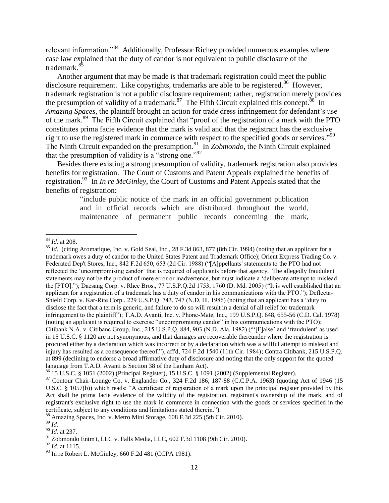relevant information."<sup>84</sup> Additionally, Professor Richey provided numerous examples where case law explained that the duty of candor is not equivalent to public disclosure of the trademark.<sup>8</sup>

Another argument that may be made is that trademark registration could meet the public disclosure requirement. Like copyrights, trademarks are able to be registered.<sup>86</sup> However, trademark registration is not a public disclosure requirement; rather, registration merely provides the presumption of validity of a trademark.<sup>87</sup> The Fifth Circuit explained this concept.<sup>88</sup> In *Amazing Spaces*, the plaintiff brought an action for trade dress infringement for defendant's use of the mark.<sup>89</sup> The Fifth Circuit explained that "proof of the registration of a mark with the PTO constitutes prima facie evidence that the mark is valid and that the registrant has the exclusive right to use the registered mark in commerce with respect to the specified goods or services."<sup>90</sup> The Ninth Circuit expanded on the presumption.<sup>91</sup> In *Zobmondo*, the Ninth Circuit explained that the presumption of validity is a "strong one."<sup>92</sup>

Besides there existing a strong presumption of validity, trademark registration also provides benefits for registration. The Court of Customs and Patent Appeals explained the benefits of registration.<sup>93</sup> In *In re McGinley*, the Court of Customs and Patent Appeals stated that the benefits of registration:

> "include public notice of the mark in an official government publication and in official records which are distributed throughout the world, maintenance of permanent public records concerning the mark,

 $\overline{a}$ <sup>84</sup> *Id.* at 208.

<sup>&</sup>lt;sup>85</sup> *Id.* (citing Aromatique, Inc. v. Gold Seal, Inc., 28 F.3d 863, 877 (8th Cir. 1994) (noting that an applicant for a trademark owes a duty of candor to the United States Patent and Trademark Office); Orient Express Trading Co. v. Federated Dep't Stores, Inc., 842 F.2d 650, 653 (2d Cir. 1988) ("[A]ppellants' statements to the PTO had not reflected the 'uncompromising candor' that is required of applicants before that agency. The allegedly fraudulent statements may not be the product of mere error or inadvertence, but must indicate a 'deliberate attempt to mislead the [PTO]."); Daesang Corp. v. Rhee Bros., 77 U.S.P.Q.2d 1753, 1760 (D. Md. 2005) ("It is well established that an applicant for a registration of a trademark has a duty of candor in his communications with the PTO."); Deflecta-Shield Corp. v. Kar-Rite Corp., 229 U.S.P.Q. 743, 747 (N.D. Ill. 1986) (noting that an applicant has a "duty to disclose the fact that a term is generic, and failure to do so will result in a denial of all relief for trademark infringement to the plaintiff"); T.A.D. Avanti, Inc. v. Phone-Mate, Inc., 199 U.S.P.Q. 648, 655-56 (C.D. Cal. 1978) (noting an applicant is required to exercise "uncompromising candor" in his communications with the PTO); Citibank N.A. v. Citibanc Group, Inc., 215 U.S.P.Q. 884, 903 (N.D. Ala. 1982) ("'[F]alse' and 'fraudulent' as used in 15 U.S.C. § 1120 are not synonymous, and that damages are recoverable thereunder where the registration is procured either by a declaration which was incorrect or by a declaration which was a willful attempt to mislead and injury has resulted as a consequence thereof."), aff'd, 724 F.2d 1540 (11th Cir. 1984); Contra Citibank, 215 U.S.P.Q. at 899 (declining to endorse a broad affirmative duty of disclosure and noting that the only support for the quoted language from T.A.D. Avanti is Section 38 of the Lanham Act).

<sup>86</sup> 15 U.S.C. § 1051 (2002) (Principal Register), 15 U.S.C. § 1091 (2002) (Supplemental Register).

<sup>87</sup> Contour Chair-Lounge Co. v. Englander Co., 324 F.2d 186, 187-88 (C.C.P.A. 1963) (quoting Act of 1946 (15 U.S.C. § 1057(b)) which reads: "A certificate of registration of a mark upon the principal register provided by this Act shall be prima facie evidence of the validity of the registration, registrant's ownership of the mark, and of registrant's exclusive right to use the mark in commerce in connection with the goods or services specified in the certificate, subject to any conditions and limitations stated therein.").

<sup>88</sup> Amazing Spaces, Inc. v. Metro Mini Storage, 608 F.3d 225 (5th Cir. 2010).

<sup>89</sup> *Id.*

<sup>90</sup> *Id.* at 237.

<sup>91</sup> Zobmondo Entm't, LLC v. Falls Media, LLC, 602 F.3d 1108 (9th Cir. 2010).

<sup>92</sup> *Id.* at 1115.

<sup>93</sup> In re Robert L. McGinley, 660 F.2d 481 (CCPA 1981).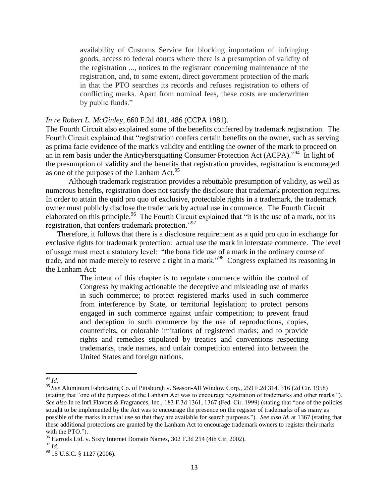availability of Customs Service for blocking importation of infringing goods, access to federal courts where there is a presumption of validity of the registration ..., notices to the registrant concerning maintenance of the registration, and, to some extent, direct government protection of the mark in that the PTO searches its records and refuses registration to others of conflicting marks. Apart from nominal fees, these costs are underwritten by public funds."

#### *In re Robert L. McGinley,* [660 F.2d 481, 486 \(CCPA 1981\).](https://a.next.westlaw.com/Link/Document/FullText?findType=Y&serNum=1981141558&pubNum=350&originationContext=document&transitionType=DocumentItem&contextData=(sc.Search)#co_pp_sp_350_486)

The Fourth Circuit also explained some of the benefits conferred by trademark registration. The Fourth Circuit explained that "registration confers certain benefits on the owner, such as serving as prima facie evidence of the mark's validity and entitling the owner of the mark to proceed on an in rem basis under the Anticybersquatting Consumer Protection Act (ACPA)."<sup>94</sup> In light of the presumption of validity and the benefits that registration provides, registration is encouraged as one of the purposes of the Lanham Act.<sup>95</sup>

Although trademark registration provides a rebuttable presumption of validity, as well as numerous benefits, registration does not satisfy the disclosure that trademark protection requires. In order to attain the quid pro quo of exclusive, protectable rights in a trademark, the trademark owner must publicly disclose the trademark by actual use in commerce. The Fourth Circuit elaborated on this principle.<sup>96</sup> The Fourth Circuit explained that "it is the use of a mark, not its registration, that confers trademark protection."<sup>97</sup>

Therefore, it follows that there is a disclosure requirement as a quid pro quo in exchange for exclusive rights for trademark protection: actual use the mark in interstate commerce. The level of usage must meet a statutory level: "the bona fide use of a mark in the ordinary course of trade, and not made merely to reserve a right in a mark."<sup>98</sup> Congress explained its reasoning in the Lanham Act:

> The intent of this chapter is to regulate commerce within the control of Congress by making actionable the deceptive and misleading use of marks in such commerce; to protect registered marks used in such commerce from interference by State, or territorial legislation; to protect persons engaged in such commerce against unfair competition; to prevent fraud and deception in such commerce by the use of reproductions, copies, counterfeits, or colorable imitations of registered marks; and to provide rights and remedies stipulated by treaties and conventions respecting trademarks, trade names, and unfair competition entered into between the United States and foreign nations.

<sup>94</sup> *Id.*

<sup>95</sup> *See* Aluminum Fabricating Co. of Pittsburgh v. Season-All Window Corp., 259 F.2d 314, 316 (2d Cir. 1958) (stating that "one of the purposes of the Lanham Act was to encourage registration of trademarks and other marks."). *See also* In re Int'l Flavors & Fragrances, Inc., 183 F.3d 1361, 1367 (Fed. Cir. 1999) (stating that "one of the policies sought to be implemented by the Act was to encourage the presence on the register of trademarks of as many as possible of the marks in actual use so that they are available for search purposes."). *See also Id*. at 1367 (stating that these additional protections are granted by the Lanham Act to encourage trademark owners to register their marks with the PTO.").

<sup>&</sup>lt;sup>96</sup> Harrods Ltd. v. Sixty Internet Domain Names, 302 F.3d 214 (4th Cir. 2002).

 $97 \overline{Id}$ 

<sup>98</sup> 15 U.S.C. § 1127 (2006).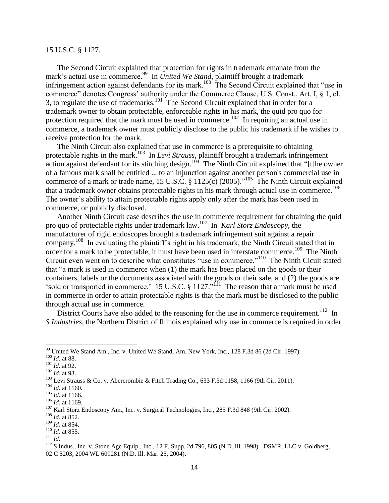#### 15 U.S.C. § 1127.

The Second Circuit explained that protection for rights in trademark emanate from the mark's actual use in commerce.<sup>99</sup> In *United We Stand*, plaintiff brought a trademark infringement action against defendants for its mark.<sup>100</sup> The Second Circuit explained that "use in commerce" denotes Congress' authority under the Commerce Clause, U.S. Const., Art. I, § 1, cl. 3, to regulate the use of trademarks.<sup>101</sup> The Second Circuit explained that in order for a trademark owner to obtain protectable, enforceable rights in his mark, the quid pro quo for protection required that the mark must be used in commerce.<sup>102</sup> In requiring an actual use in commerce, a trademark owner must publicly disclose to the public his trademark if he wishes to receive protection for the mark.

The Ninth Circuit also explained that use in commerce is a prerequisite to obtaining protectable rights in the mark.<sup>103</sup> In *Levi Strauss*, plaintiff brought a trademark infringement action against defendant for its stitching design.<sup>104</sup> The Ninth Circuit explained that "[t]he owner of a famous mark shall be entitled ... to an injunction against another person's commercial use in commerce of a mark or trade name, 15 U.S.C. § 1125(c) (2005).<sup>105</sup> The Ninth Circuit explained that a trademark owner obtains protectable rights in his mark through actual use in commerce.<sup>106</sup> The owner's ability to attain protectable rights apply only after the mark has been used in commerce, or publicly disclosed.

Another Ninth Circuit case describes the use in commerce requirement for obtaining the quid pro quo of protectable rights under trademark law.<sup>107</sup> In *Karl Storz Endoscopy*, the manufacturer of rigid endoscopes brought a trademark infringement suit against a repair company.<sup>108</sup> In evaluating the plaintiff's right in his trademark, the Ninth Circuit stated that in order for a mark to be protectable, it must have been used in interstate commerce.<sup>109</sup> The Ninth Circuit even went on to describe what constitutes "use in commerce."<sup>110</sup> The Ninth Cicuit stated that "a mark is used in commerce when (1) the mark has been placed on the goods or their containers, labels or the documents associated with the goods or their sale, and (2) the goods are 'sold or transported in commerce.' 15 U.S.C.  $\S 1127$ ."<sup> $11$ </sup> The reason that a mark must be used in commerce in order to attain protectable rights is that the mark must be disclosed to the public through actual use in commerce.

District Courts have also added to the reasoning for the use in commerce requirement.<sup>112</sup> In *S Industries*, the Northern District of Illinois explained why use in commerce is required in order

l

<sup>&</sup>lt;sup>99</sup> United We Stand Am., Inc. v. United We Stand, Am. New York, Inc., 128 F.3d 86 (2d Cir. 1997).

<sup>100</sup> *Id.* at 88.

<sup>101</sup> *Id.* at 92.

 $102 \overline{Id}$ . at 93.

<sup>&</sup>lt;sup>103</sup> Levi Strauss & Co. v. Abercrombie & Fitch Trading Co., 633 F.3d 1158, 1166 (9th Cir. 2011).

<sup>104</sup> *Id.* at 1160.

<sup>105</sup> *Id.* at 1166.

<sup>106</sup> *Id.* at 1169.

<sup>&</sup>lt;sup>107</sup> Karl Storz Endoscopy Am., Inc. v. Surgical Technologies, Inc., 285 F.3d 848 (9th Cir. 2002).

<sup>108</sup> *Id.* at 852.

<sup>109</sup> *Id.* at 854.

<sup>110</sup> *Id.* at 855.

<sup>111</sup> *Id.*

<sup>&</sup>lt;sup>112</sup> S Indus., Inc. v. Stone Age Equip., Inc., 12 F. Supp. 2d 796, 805 (N.D. Ill. 1998). DSMR, LLC v. Goldberg, 02 C 5203, 2004 WL 609281 (N.D. Ill. Mar. 25, 2004).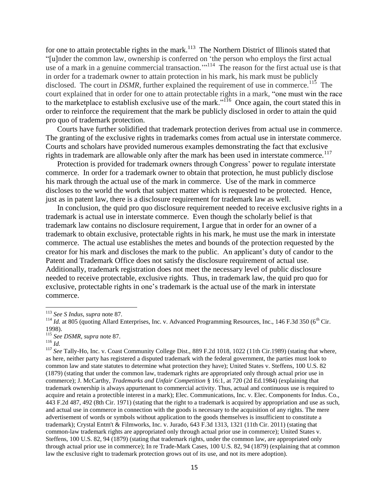for one to attain protectable rights in the mark.<sup>113</sup> The Northern District of Illinois stated that "[u]nder the common law, ownership is conferred on 'the person who employs the first actual use of a mark in a genuine commercial transaction."<sup>114</sup> The reason for the first actual use is that in order for a trademark owner to attain protection in his mark, his mark must be publicly disclosed. The court in  $DSMR$ , further explained the requirement of use in commerce.<sup>115</sup> The court explained that in order for one to attain protectable rights in a mark, "one must win the race to the marketplace to establish exclusive use of the mark."<sup> $116$ </sup> Once again, the court stated this in order to reinforce the requirement that the mark be publicly disclosed in order to attain the quid pro quo of trademark protection.

Courts have further solidified that trademark protection derives from actual use in commerce. The granting of the exclusive rights in trademarks comes from actual use in interstate commerce. Courts and scholars have provided numerous examples demonstrating the fact that exclusive rights in trademark are allowable only after the mark has been used in interstate commerce.<sup>117</sup>

Protection is provided for trademark owners through Congress' power to regulate interstate commerce. In order for a trademark owner to obtain that protection, he must publicly disclose his mark through the actual use of the mark in commerce. Use of the mark in commerce discloses to the world the work that subject matter which is requested to be protected. Hence, just as in patent law, there is a disclosure requirement for trademark law as well.

In conclusion, the quid pro quo disclosure requirement needed to receive exclusive rights in a trademark is actual use in interstate commerce. Even though the scholarly belief is that trademark law contains no disclosure requirement, I argue that in order for an owner of a trademark to obtain exclusive, protectable rights in his mark, he must use the mark in interstate commerce. The actual use establishes the metes and bounds of the protection requested by the creator for his mark and discloses the mark to the public. An applicant's duty of candor to the Patent and Trademark Office does not satisfy the disclosure requirement of actual use. Additionally, trademark registration does not meet the necessary level of public disclosure needed to receive protectable, exclusive rights. Thus, in trademark law, the quid pro quo for exclusive, protectable rights in one's trademark is the actual use of the mark in interstate commerce.

<sup>113</sup> *See S Indus, supra* note 87*.*

 $114$  *Id.* at 805 (quoting Allard Enterprises, Inc. v. Advanced Programming Resources, Inc., 146 F.3d 350 (6<sup>th</sup> Cir. 1998).

<sup>115</sup> *See DSMR, supra* note 87.

<sup>116</sup> *Id.*

<sup>117</sup> *See* Tally-Ho, Inc. v. Coast Community College Dist., 889 F.2d 1018, 1022 (11th Cir.1989) (stating that where, as here, neither party has registered a disputed trademark with the federal government, the parties must look to common law and state statutes to determine what protection they have); United States v. Steffens, 100 U.S. 82 (1879) (stating that under the common law, trademark rights are appropriated only through actual prior use in commerce); J. McCarthy, *Trademarks and Unfair Competition* § 16:1, at 720 (2d Ed.1984) (explaining that trademark ownership is always appurtenant to commercial activity. Thus, actual and continuous use is required to acquire and retain a protectible interest in a mark); Elec. Communications, Inc. v. Elec. Components for Indus. Co., 443 F.2d 487, 492 (8th Cir. 1971) (stating that the right to a trademark is acquired by appropriation and use as such, and actual use in commerce in connection with the goods is necessary to the acquisition of any rights. The mere advertisement of words or symbols without application to the goods themselves is insufficient to constitute a trademark); Crystal Entm't & Filmworks, Inc. v. Jurado, 643 F.3d 1313, 1321 (11th Cir. 2011) (stating that common-law trademark rights are appropriated only through actual prior use in commerce); United States v. Steffens, 100 U.S. 82, 94 (1879) (stating that trademark rights, under the common law, are appropriated only through actual prior use in commerce); In re Trade-Mark Cases, 100 U.S. 82, 94 (1879) (explaining that at common law the exclusive right to trademark protection grows out of its use, and not its mere adoption).